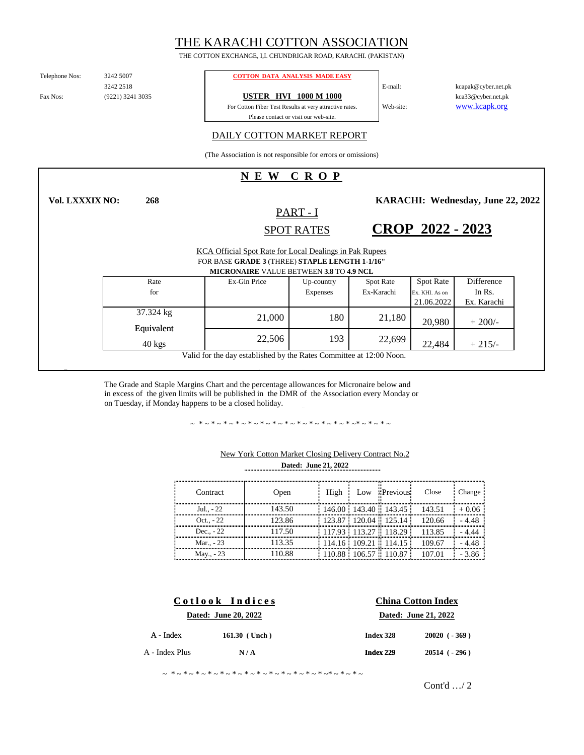# THE KARACHI COTTON ASSOCIATION

THE COTTON EXCHANGE, I,I. CHUNDRIGAR ROAD, KARACHI. (PAKISTAN)

Telephone Nos:

(9221) 3241 3035 3242 2518

**268**

#### 3242 5007 **COTTON DATA ANALYSIS MADE EASY**

Fax Nos: **19921** 12035 **1998 USTER HVI 1000 M 1000** 

Please contact or visit our web-site. For Cotton Fiber Test Results at very attractive rates. www.kcapk.org kca33@cyber.net.pk kcapak@cyber.net.pk

## DAILY COTTON MARKET REPORT

(The Association is not responsible for errors or omissions)

# **N E W C R O P**

**Vol. LXXXIX NO:**

PART - I SPOT RATES

**CROP 2022 - 2023**

**KARACHI: Wednesday, June 22, 2022** 

Web-site:

E-mail:

22,484

KCA Official Spot Rate for Local Dealings in Pak Rupees

FOR BASE **GRADE 3** (THREE) **STAPLE LENGTH 1-1/16"**

| <b>MICRONAIRE</b> VALUE BETWEEN 3.8 TO 4.9 NCL |              |                 |                  |                  |             |
|------------------------------------------------|--------------|-----------------|------------------|------------------|-------------|
| Rate                                           | Ex-Gin Price | Up-country      | <b>Spot Rate</b> | <b>Spot Rate</b> | Difference  |
| for                                            |              | <b>Expenses</b> | Ex-Karachi       | Ex. KHI. As on   | In Rs.      |
|                                                |              |                 |                  | 21.06.2022       | Ex. Karachi |
| 37.324 kg<br>Equivalent                        | 21,000       | 180             | 21,180           | 20,980           | $+200/-$    |
|                                                |              |                 |                  |                  |             |

Valid for the day established by the Rates Committee at 12:00 Noon.

The Grade and Staple Margins Chart and the percentage allowances for Micronaire below and in excess of the given limits will be published in the DMR of the Association every Monday or on Tuesday, if Monday happens to be a closed holiday.

 $40 \text{ kgs}$  22,506 193 22,699

~ \*~\*~\*~\*~\*~\*~\*~\*~\*~\*~\*~\*~\*~\*~\*~\*~

| Contract     | Open   | High | Low Previous                                                                 | Close                         | Change  |
|--------------|--------|------|------------------------------------------------------------------------------|-------------------------------|---------|
| $Jul., -22$  | 143.50 |      |                                                                              | 146.00 143.40 143.45 143.51   | $+0.06$ |
| Oct. $. -22$ | 123.86 |      |                                                                              | 123.87 120.04 125.14 120.66   | - 4.48  |
| Dec. $-22$   | 117.50 |      |                                                                              | $117.93$ 113.27 118.29 113.85 | $-4.44$ |
| Mar - 23     | 113.35 |      | $\frac{1}{2}$ 114.16 $\frac{1}{2}$ 109.21 $\frac{1}{2}$ 114.15 $\frac{1}{2}$ | 109.67                        | - 4.48  |
| May., - 23   | 110.88 |      | $110.88$ 106.57 110.87                                                       | 107.01                        | - 3 86  |

 $22,506$  193  $22,699$   $22,484$   $+215/$ 

193

### **Dated: June 21, 2022** New York Cotton Market Closing Delivery Contract No.2

|                      | Cotlook Indices | <b>China Cotton Index</b> |                    |  |  |
|----------------------|-----------------|---------------------------|--------------------|--|--|
| Dated: June 20, 2022 |                 | Dated: June 21, 2022      |                    |  |  |
| $A$ - Index          | 161.30 (Unch)   | Index 328                 | $20020 (-369)$     |  |  |
| A - Index Plus       | N/A             | Index 229                 | $20514$ ( $-296$ ) |  |  |
|                      |                 |                           |                    |  |  |

~ \*~\*~\*~\*~\*~\*~\*~\*~\*~\*~\*~\*~\*~\*~\*~\*~

Cont'd …/ 2